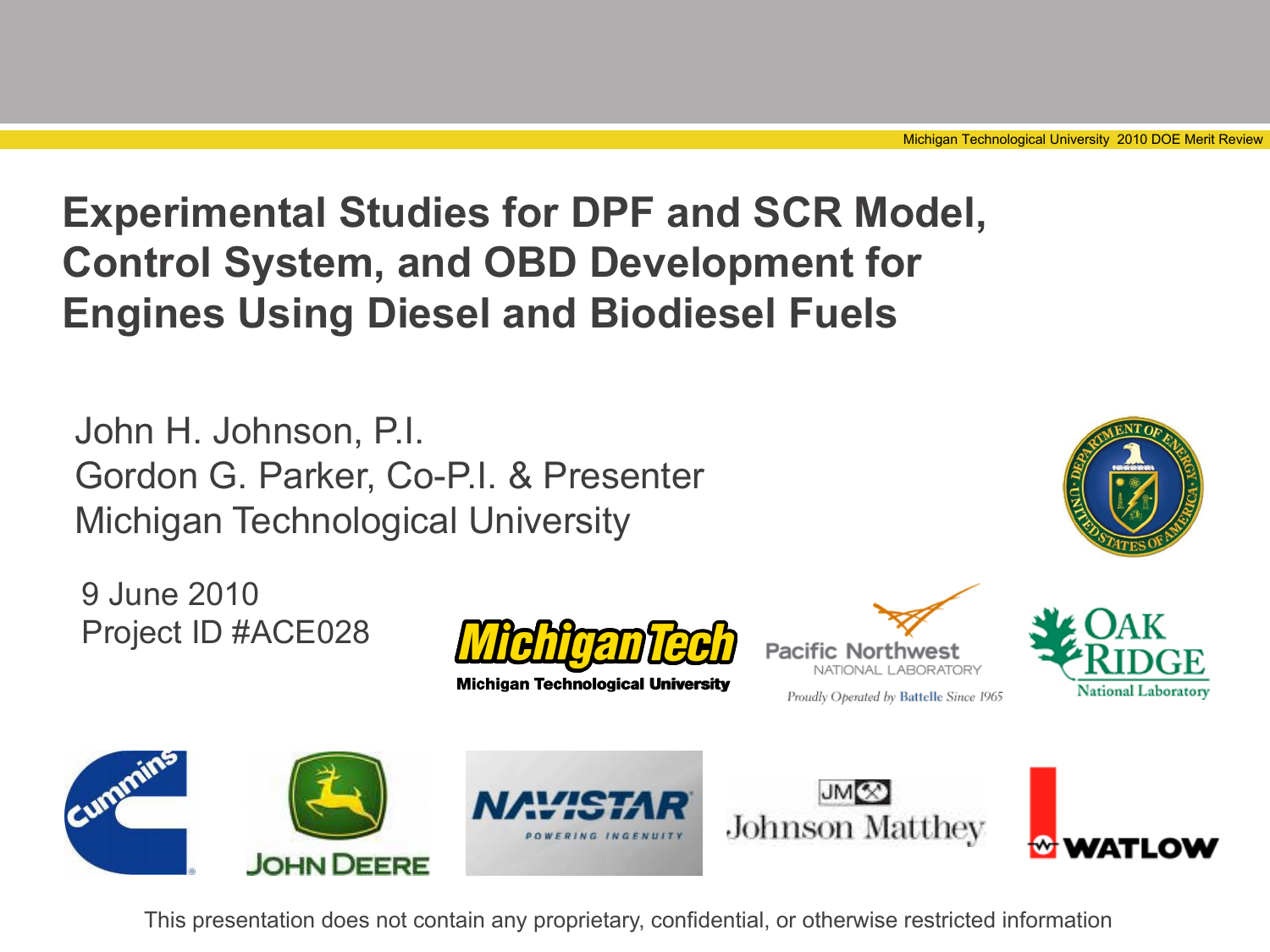### **Experimental Studies for DPF and SCR Model, Control System, and OBD Development for Engines Using Diesel and Biodiesel Fuels**

John H. Johnson, P.I. Gordon G. Parker, Co-P.I. & Presenter Michigan Technological University

9 June 2010 Project ID #ACE028



**Michigan Technological University** 



Proudly Operated by Battelle Since 1965







This presentation does not contain any proprietary, confidential, or otherwise restricted information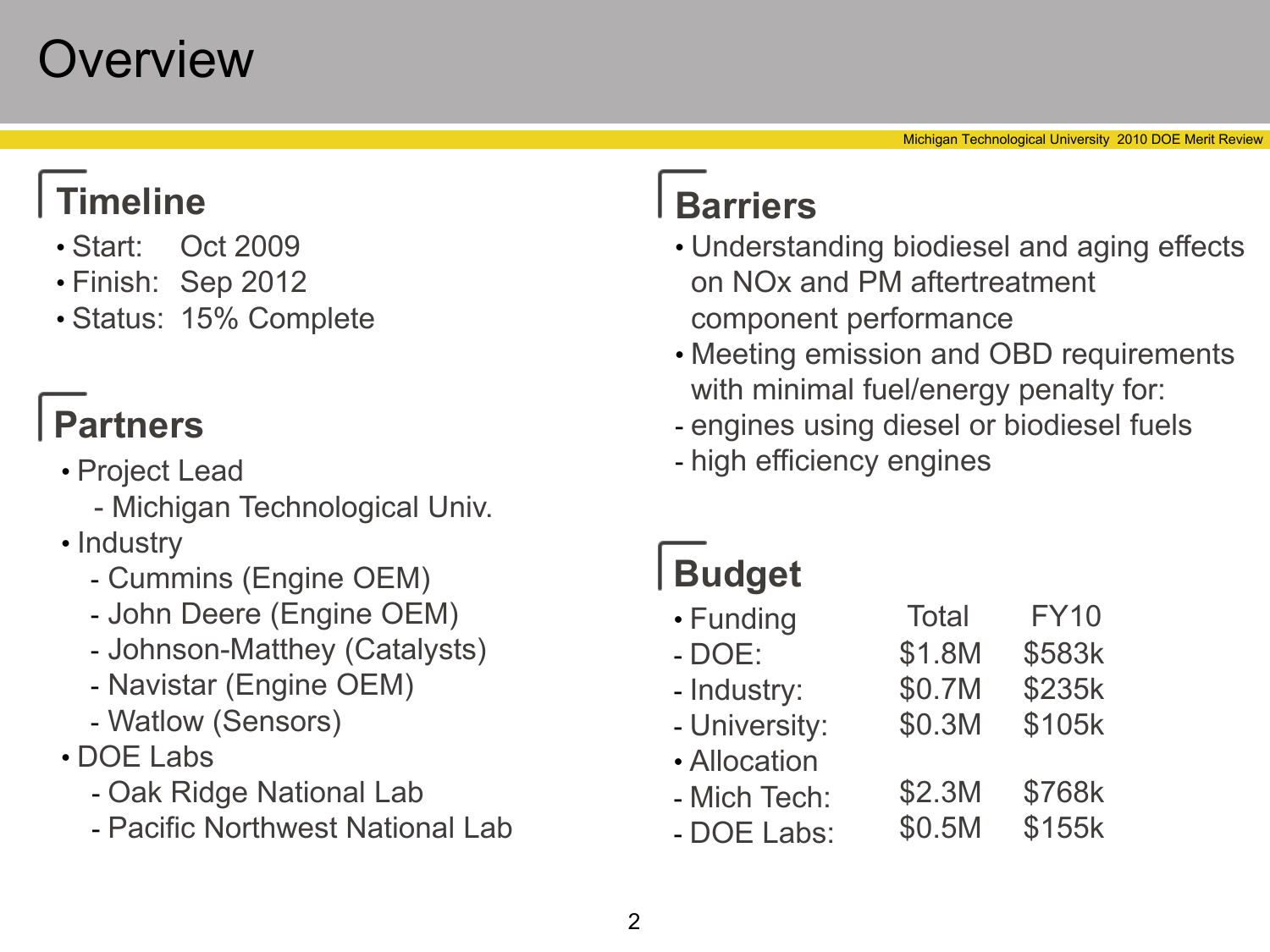### **Overview**

#### **Timeline Barriers**

- Start: Oct 2009
- Finish: Sep 2012
- Status: 15% Complete

#### **Partners**

- Project Lead
	- Michigan Technological Univ.
- Industry
	- Cummins (Engine OEM)
	- John Deere (Engine OEM)
	- Johnson-Matthey (Catalysts)
	- Navistar (Engine OEM)
	- Watlow (Sensors)
- DOE Labs
	- Oak Ridge National Lab
	- Pacific Northwest National Lab

- Understanding biodiesel and aging effects on NOx and PM aftertreatment component performance
- Meeting emission and OBD requirements with minimal fuel/energy penalty for:
- engines using diesel or biodiesel fuels

\$0.3M

\$105k

- high efficiency engines

### **Budget**

- Funding - DOE: \$1.8M Total FY10 \$583k
- Industry: \$0.7M \$235k
- University:
- Allocation
- Mich Tech: \$2.3M \$768k
- DOE Labs: \$0.5M \$155k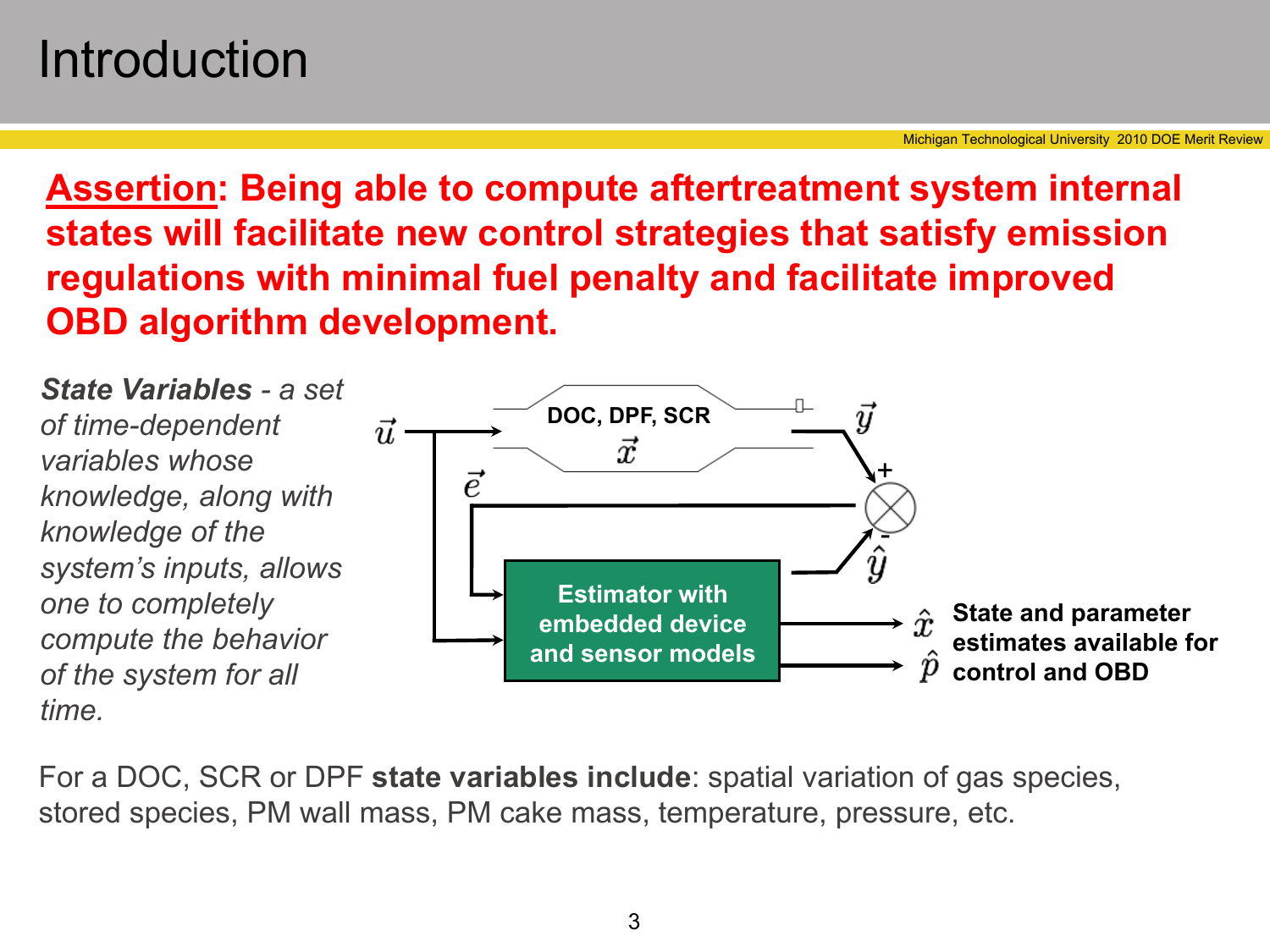### Introduction

**Assertion: Being able to compute aftertreatment system internal states will facilitate new control strategies that satisfy emission regulations with minimal fuel penalty and facilitate improved OBD algorithm development.**

*State Variables - a set of time-dependent variables whose knowledge, along with knowledge of the system's inputs, allows one to completely compute the behavior of the system for all time.*



For a DOC, SCR or DPF **state variables include**: spatial variation of gas species, stored species, PM wall mass, PM cake mass, temperature, pressure, etc.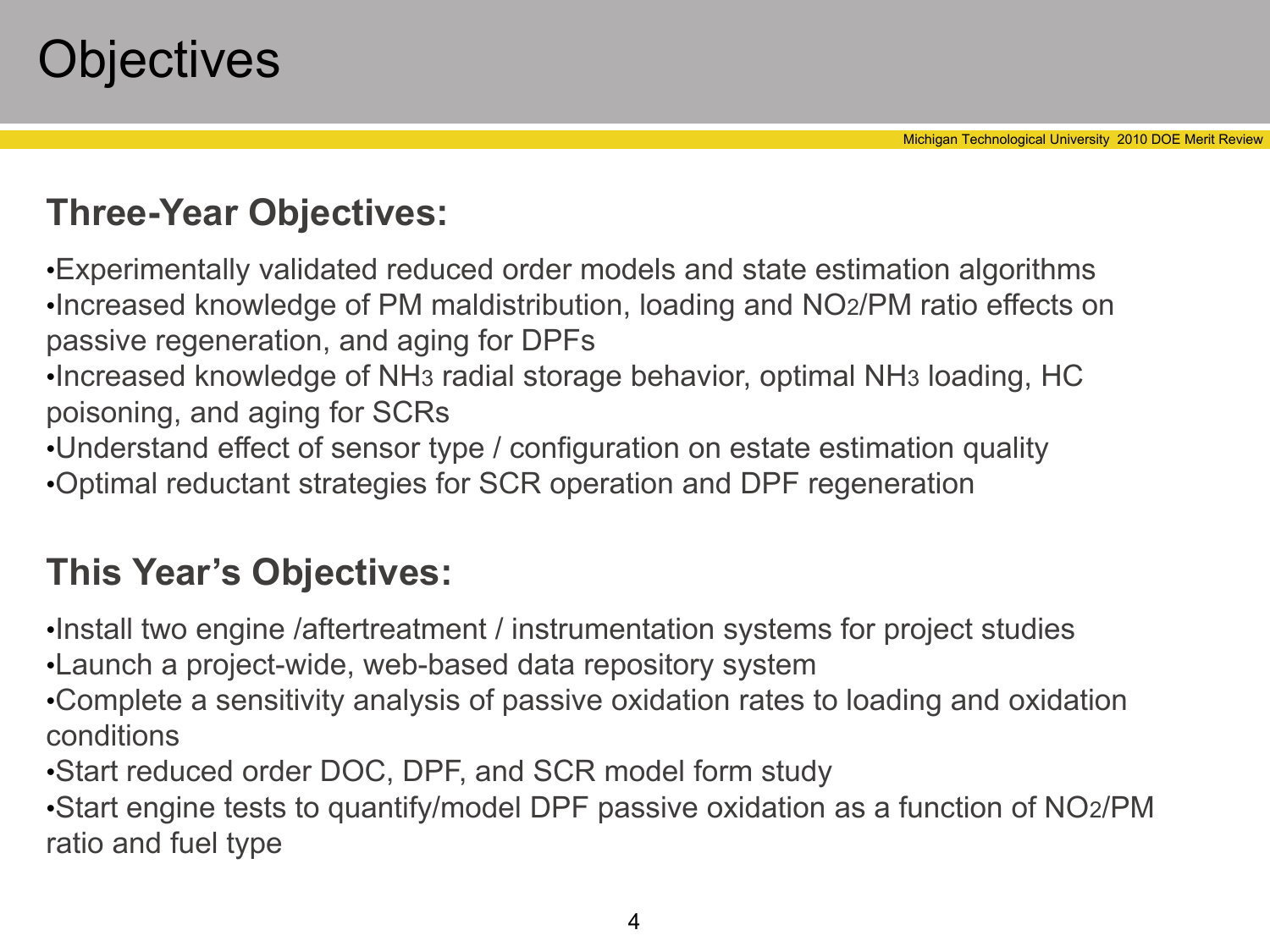#### **Three-Year Objectives:**

•Experimentally validated reduced order models and state estimation algorithms •Increased knowledge of PM maldistribution, loading and NO2/PM ratio effects on passive regeneration, and aging for DPFs

- •Increased knowledge of NH3 radial storage behavior, optimal NH3 loading, HC poisoning, and aging for SCRs
- •Understand effect of sensor type / configuration on estate estimation quality •Optimal reductant strategies for SCR operation and DPF regeneration

#### **This Year's Objectives:**

- •Install two engine /aftertreatment / instrumentation systems for project studies
- •Launch a project-wide, web-based data repository system
- •Complete a sensitivity analysis of passive oxidation rates to loading and oxidation conditions
- •Start reduced order DOC, DPF, and SCR model form study

•Start engine tests to quantify/model DPF passive oxidation as a function of NO2/PM ratio and fuel type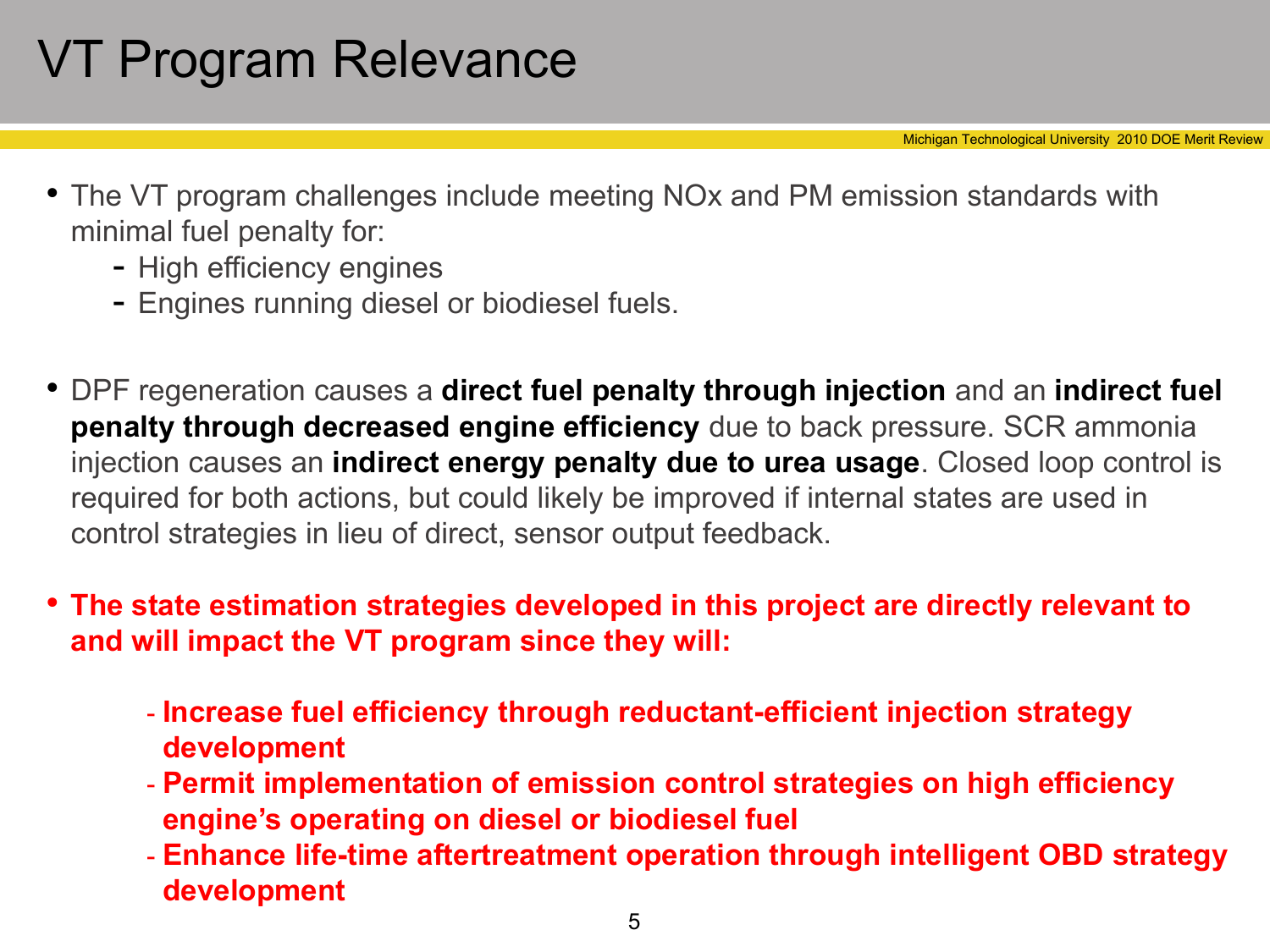# VT Program Relevance

Michigan Technological University 2010 DOE Merit Review

- The VT program challenges include meeting NOx and PM emission standards with minimal fuel penalty for:
	- High efficiency engines
	- Engines running diesel or biodiesel fuels.
- DPF regeneration causes a **direct fuel penalty through injection** and an **indirect fuel penalty through decreased engine efficiency** due to back pressure. SCR ammonia injection causes an **indirect energy penalty due to urea usage**. Closed loop control is required for both actions, but could likely be improved if internal states are used in control strategies in lieu of direct, sensor output feedback.
- **The state estimation strategies developed in this project are directly relevant to and will impact the VT program since they will:**
	- **Increase fuel efficiency through reductant-efficient injection strategy development**
	- **Permit implementation of emission control strategies on high efficiency engine's operating on diesel or biodiesel fuel**
	- **Enhance life-time aftertreatment operation through intelligent OBD strategy development**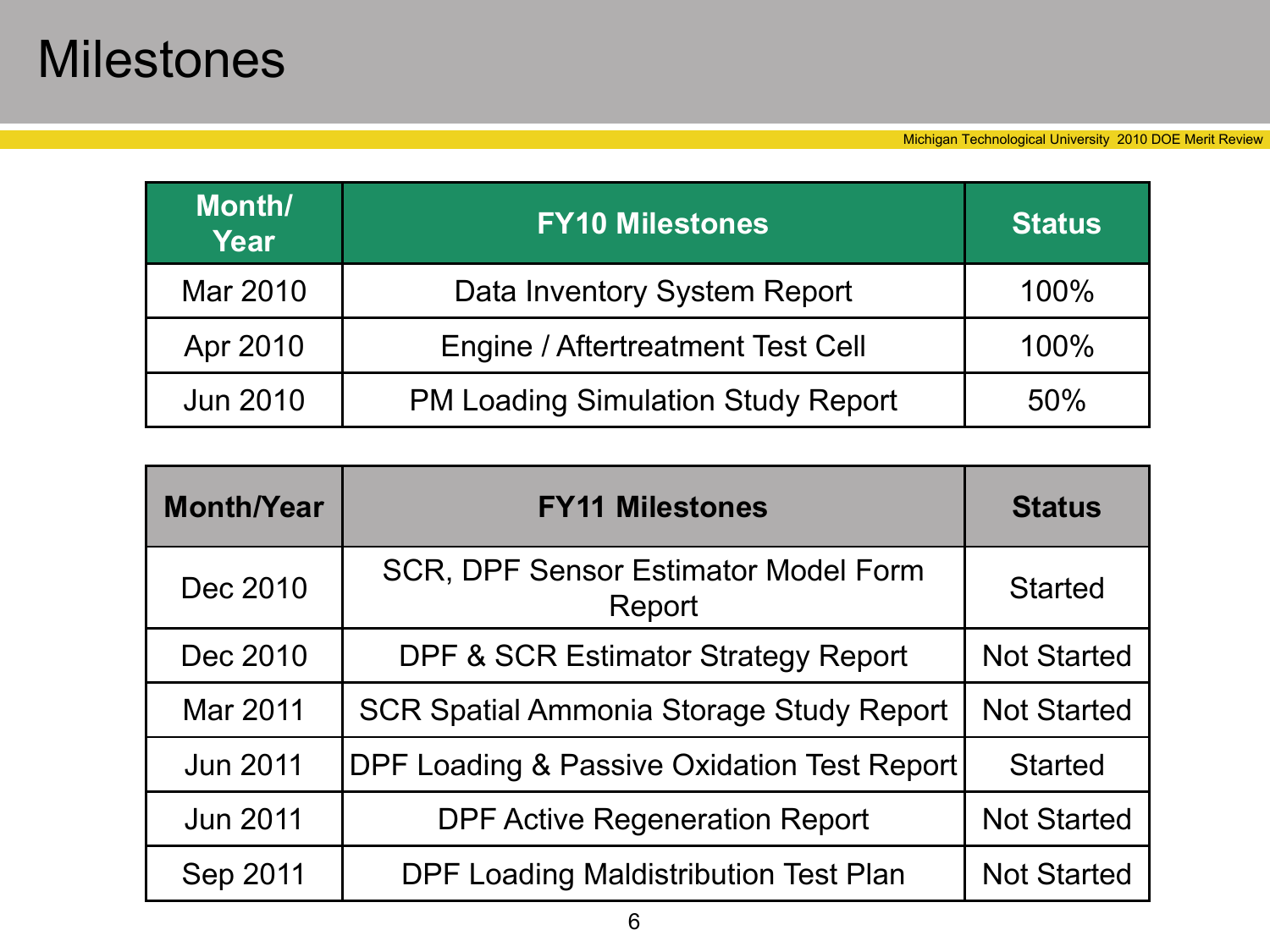### Milestones

| Month/<br>Year  | <b>FY10 Milestones</b>                    | <b>Status</b> |
|-----------------|-------------------------------------------|---------------|
| Mar 2010        | Data Inventory System Report              | 100%          |
| Apr 2010        | <b>Engine / Aftertreatment Test Cell</b>  | 100%          |
| <b>Jun 2010</b> | <b>PM Loading Simulation Study Report</b> | 50%           |

| <b>Month/Year</b> | <b>FY11 Milestones</b>                                | <b>Status</b>      |
|-------------------|-------------------------------------------------------|--------------------|
| Dec 2010          | <b>SCR, DPF Sensor Estimator Model Form</b><br>Report | <b>Started</b>     |
| Dec 2010          | <b>DPF &amp; SCR Estimator Strategy Report</b>        | <b>Not Started</b> |
| Mar 2011          | <b>SCR Spatial Ammonia Storage Study Report</b>       | <b>Not Started</b> |
| <b>Jun 2011</b>   | DPF Loading & Passive Oxidation Test Report           | <b>Started</b>     |
| <b>Jun 2011</b>   | <b>DPF Active Regeneration Report</b>                 | <b>Not Started</b> |
| Sep 2011          | <b>DPF Loading Maldistribution Test Plan</b>          | <b>Not Started</b> |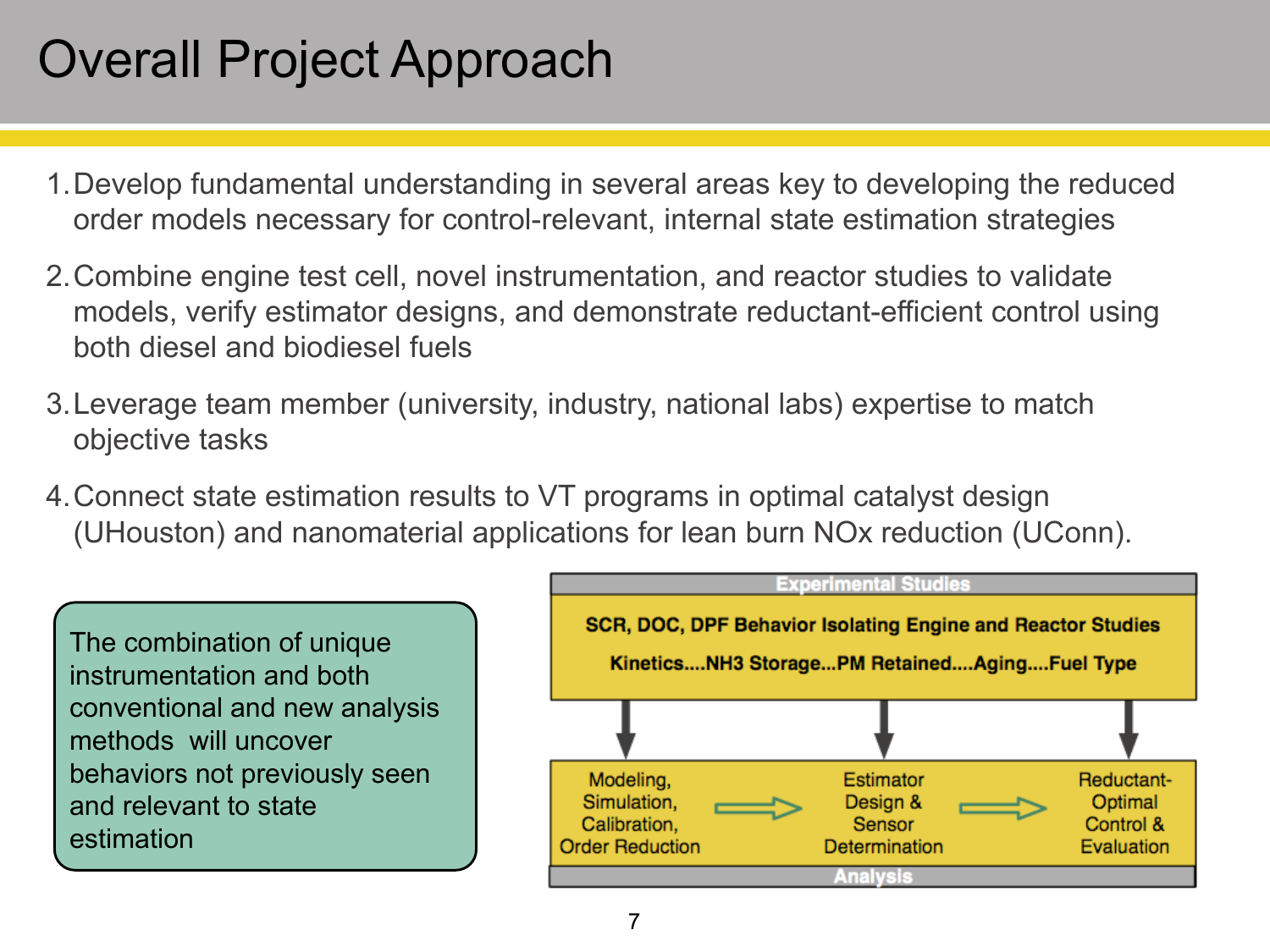### Overall Project Approach

- 1.Develop fundamental understanding in several areas key to developing the reduced order models necessary for control-relevant, internal state estimation strategies
- 2.Combine engine test cell, novel instrumentation, and reactor studies to validate models, verify estimator designs, and demonstrate reductant-efficient control using both diesel and biodiesel fuels
- 3.Leverage team member (university, industry, national labs) expertise to match objective tasks
- 4.Connect state estimation results to VT programs in optimal catalyst design (UHouston) and nanomaterial applications for lean burn NOx reduction (UConn).

The combination of unique instrumentation and both conventional and new analysis methods will uncover behaviors not previously seen and relevant to state estimation

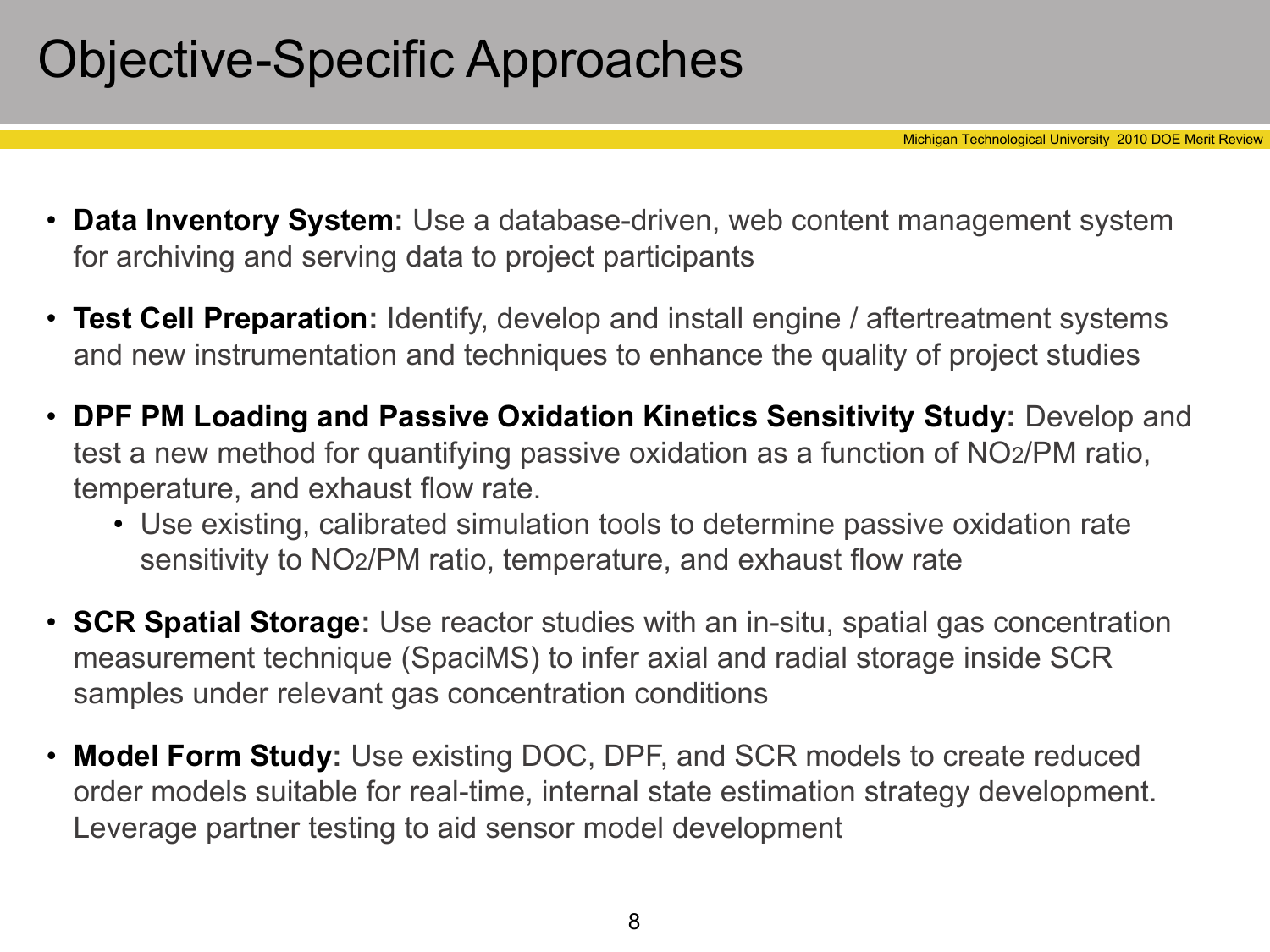### Objective-Specific Approaches

- **Data Inventory System:** Use a database-driven, web content management system for archiving and serving data to project participants
- **Test Cell Preparation:** Identify, develop and install engine / aftertreatment systems and new instrumentation and techniques to enhance the quality of project studies
- **DPF PM Loading and Passive Oxidation Kinetics Sensitivity Study:** Develop and test a new method for quantifying passive oxidation as a function of NO2/PM ratio, temperature, and exhaust flow rate.
	- Use existing, calibrated simulation tools to determine passive oxidation rate sensitivity to NO2/PM ratio, temperature, and exhaust flow rate
- **SCR Spatial Storage:** Use reactor studies with an in-situ, spatial gas concentration measurement technique (SpaciMS) to infer axial and radial storage inside SCR samples under relevant gas concentration conditions
- **Model Form Study:** Use existing DOC, DPF, and SCR models to create reduced order models suitable for real-time, internal state estimation strategy development. Leverage partner testing to aid sensor model development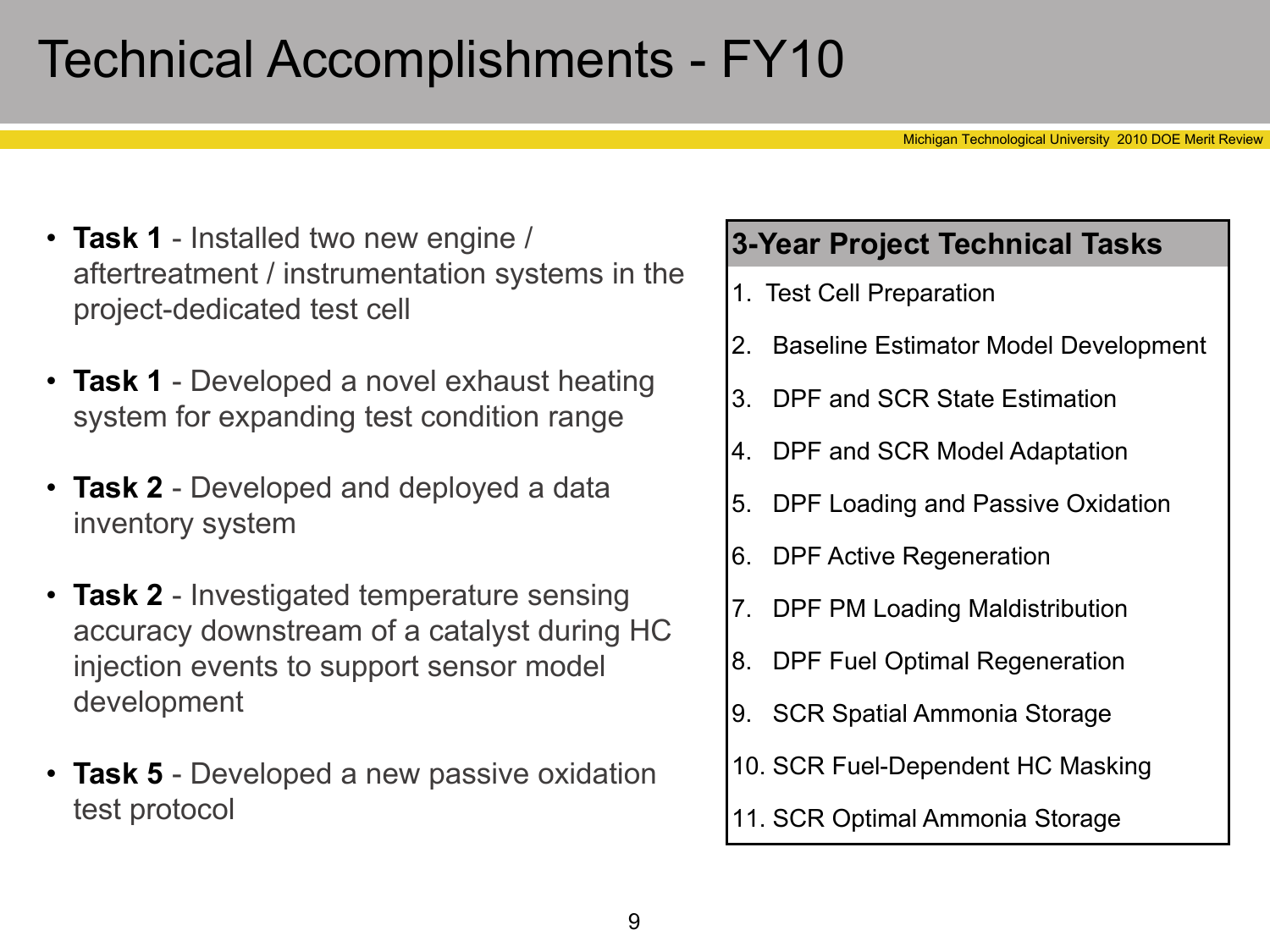### Technical Accomplishments - FY10

Michigan Technological University 2010 DOE Merit Review

- **Task 1** Installed two new engine / aftertreatment / instrumentation systems in the project-dedicated test cell
- **Task 1** Developed a novel exhaust heating system for expanding test condition range
- **Task 2** Developed and deployed a data inventory system
- **Task 2** Investigated temperature sensing accuracy downstream of a catalyst during HC injection events to support sensor model development
- **Task 5** Developed a new passive oxidation test protocol

#### **3-Year Project Technical Tasks**

- 1. Test Cell Preparation
- 2. Baseline Estimator Model Development
- 3. DPF and SCR State Estimation
- 4. DPF and SCR Model Adaptation
- 5. DPF Loading and Passive Oxidation
- 6. DPF Active Regeneration
- 7. DPF PM Loading Maldistribution
- 8. DPF Fuel Optimal Regeneration
- 9. SCR Spatial Ammonia Storage
- 10. SCR Fuel-Dependent HC Masking
- 11. SCR Optimal Ammonia Storage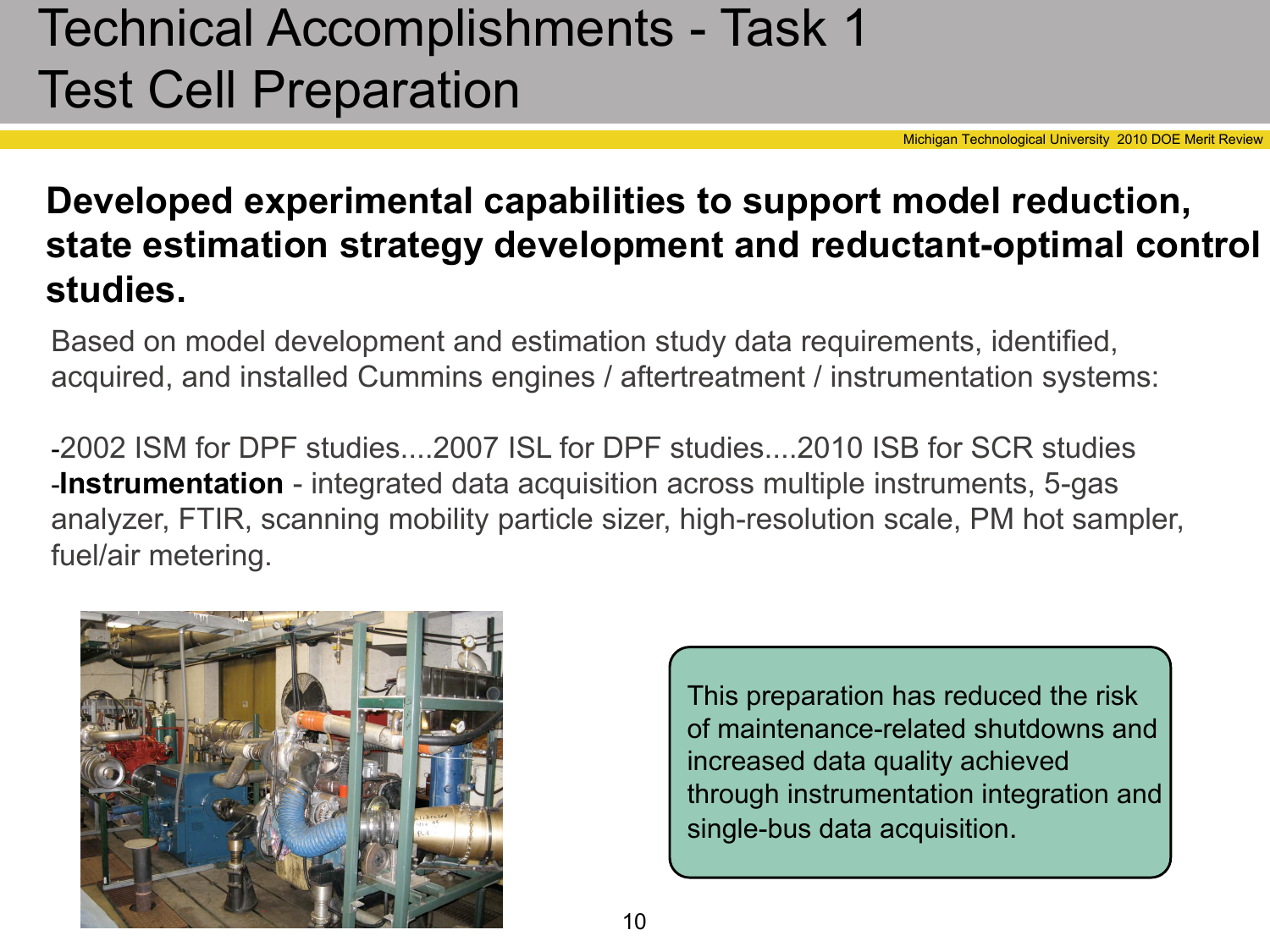# Technical Accomplishments - Task 1 Test Cell Preparation

Michigan Technological University 2010 DOE Merit Review

#### **Developed experimental capabilities to support model reduction, state estimation strategy development and reductant-optimal control studies.**

Based on model development and estimation study data requirements, identified, acquired, and installed Cummins engines / aftertreatment / instrumentation systems:

-2002 ISM for DPF studies....2007 ISL for DPF studies....2010 ISB for SCR studies -**Instrumentation** - integrated data acquisition across multiple instruments, 5-gas analyzer, FTIR, scanning mobility particle sizer, high-resolution scale, PM hot sampler, fuel/air metering.



This preparation has reduced the risk of maintenance-related shutdowns and increased data quality achieved through instrumentation integration and single-bus data acquisition.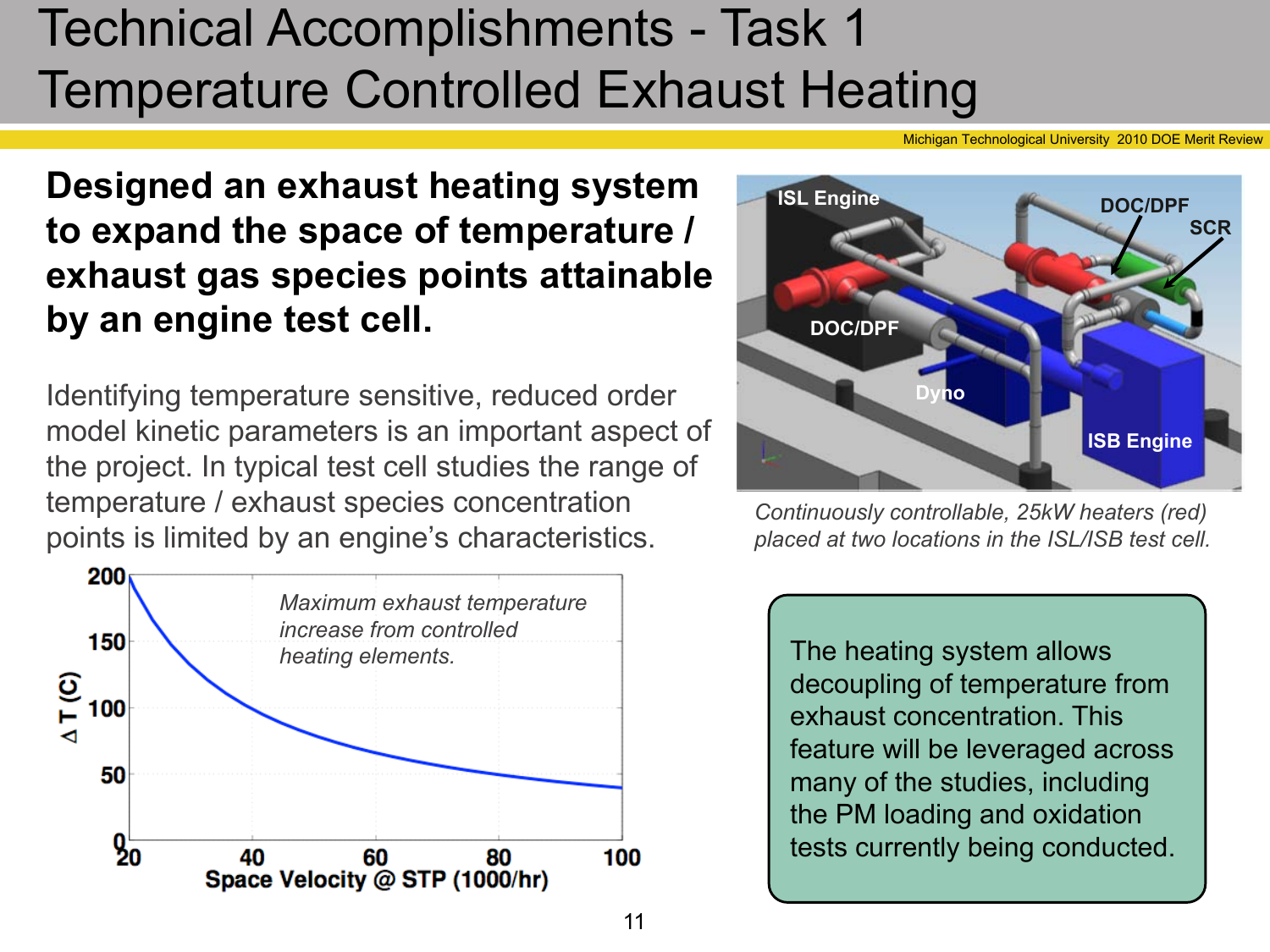# Technical Accomplishments - Task 1 Temperature Controlled Exhaust Heating

n Technological University 2010 DOE Merit Review

**Designed an exhaust heating system to expand the space of temperature / exhaust gas species points attainable by an engine test cell.**

Identifying temperature sensitive, reduced order model kinetic parameters is an important aspect of the project. In typical test cell studies the range of temperature / exhaust species concentration points is limited by an engine's characteristics.





*Continuously controllable, 25kW heaters (red) placed at two locations in the ISL/ISB test cell.*

The heating system allows decoupling of temperature from exhaust concentration. This feature will be leveraged across many of the studies, including the PM loading and oxidation tests currently being conducted.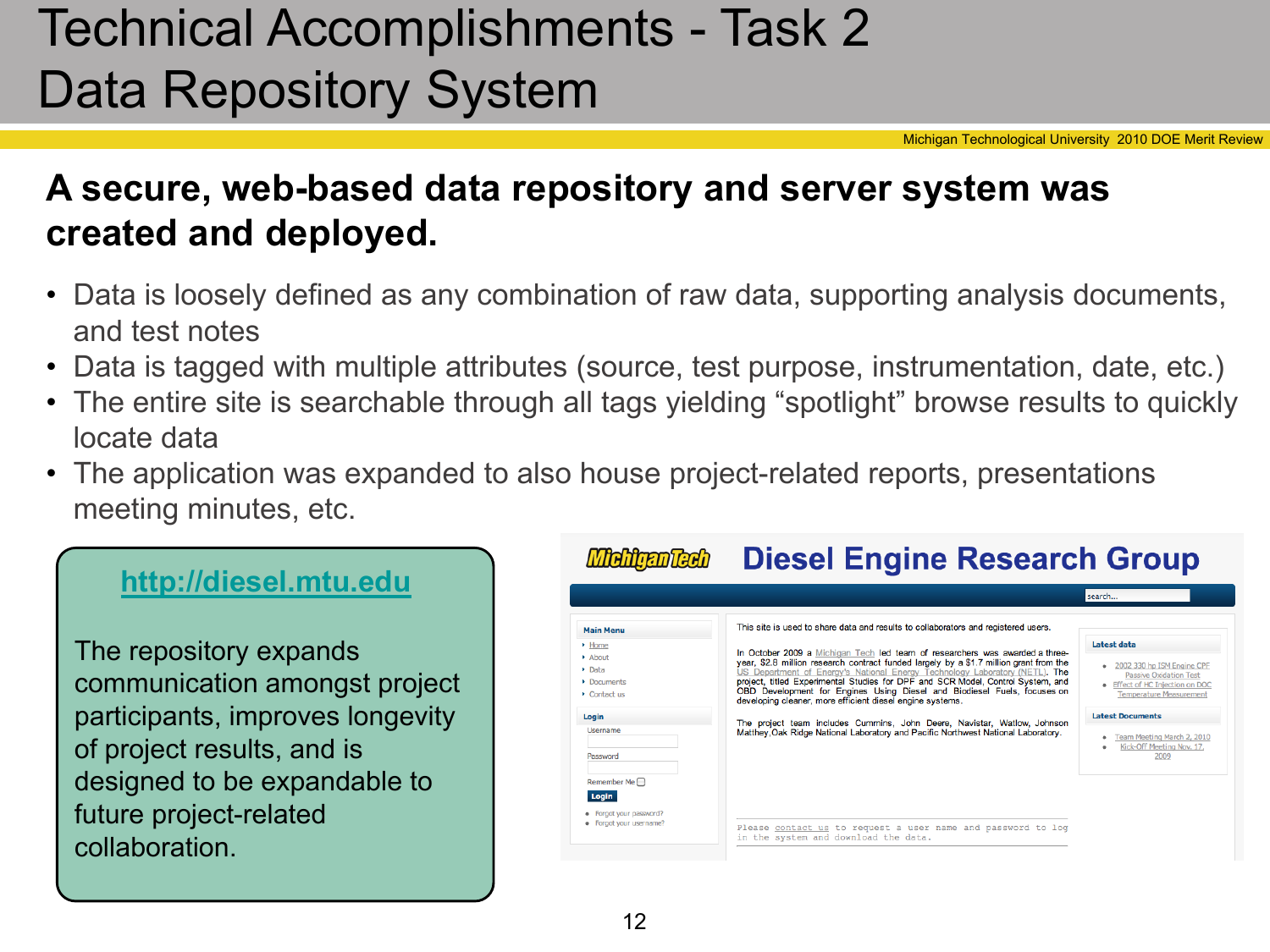# Technical Accomplishments - Task 2 Data Repository System

Michigan Technological University 2010 DOE Merit Review

#### **A secure, web-based data repository and server system was created and deployed.**

- Data is loosely defined as any combination of raw data, supporting analysis documents, and test notes
- Data is tagged with multiple attributes (source, test purpose, instrumentation, date, etc.)
- The entire site is searchable through all tags yielding "spotlight" browse results to quickly locate data
- The application was expanded to also house project-related reports, presentations meeting minutes, etc.

#### **<http://diesel.mtu.edu>**

The repository expands communication amongst project participants, improves longevity of project results, and is designed to be expandable to future project-related collaboration.

|                                                                                             |                                                                                                                                                                                                                                                                                                                                                                                                   | search                                                                                                                           |
|---------------------------------------------------------------------------------------------|---------------------------------------------------------------------------------------------------------------------------------------------------------------------------------------------------------------------------------------------------------------------------------------------------------------------------------------------------------------------------------------------------|----------------------------------------------------------------------------------------------------------------------------------|
| <b>Main Menu</b>                                                                            | This site is used to share data and results to collaborators and registered users.                                                                                                                                                                                                                                                                                                                |                                                                                                                                  |
| • Home                                                                                      | In October 2009 a Michigan Tech led team of researchers was awarded a three-                                                                                                                                                                                                                                                                                                                      | Latest data                                                                                                                      |
| About<br>$\triangleright$ Data<br>$\triangleright$ Documents<br>$\triangleright$ Contact us | year, \$2.8 million research contract funded largely by a \$1.7 million grant from the<br>US Department of Energy's National Energy Technology Laboratory (NETL). The<br>project, titled Experimental Studies for DPF and SCR Model, Control System, and<br>OBD Development for Engines Using Diesel and Biodiesel Fuels, focuses on<br>developing cleaner, more efficient diesel engine systems. | 2002 330 hp ISM Engine CPF<br><b>Passive Oxidation Test</b><br>• Effect of HC Injection on DOC<br><b>Temperature Measurement</b> |
| Login                                                                                       | The project team includes Cummins, John Deere, Navistar, Watlow, Johnson                                                                                                                                                                                                                                                                                                                          | <b>Latest Documents</b>                                                                                                          |
| Username<br>Password                                                                        | Matthey, Oak Ridge National Laboratory and Pacific Northwest National Laboratory.                                                                                                                                                                                                                                                                                                                 | Team Meeting March 2, 2010<br>Kick-Off Meeting Nov. 17,<br>2009                                                                  |
| Remember Me $\Box$<br>Login                                                                 |                                                                                                                                                                                                                                                                                                                                                                                                   |                                                                                                                                  |
| · Forgot your password?<br>· Forgot your username?                                          | Please contact us to request a user name and password to log<br>in the system and download the data.                                                                                                                                                                                                                                                                                              |                                                                                                                                  |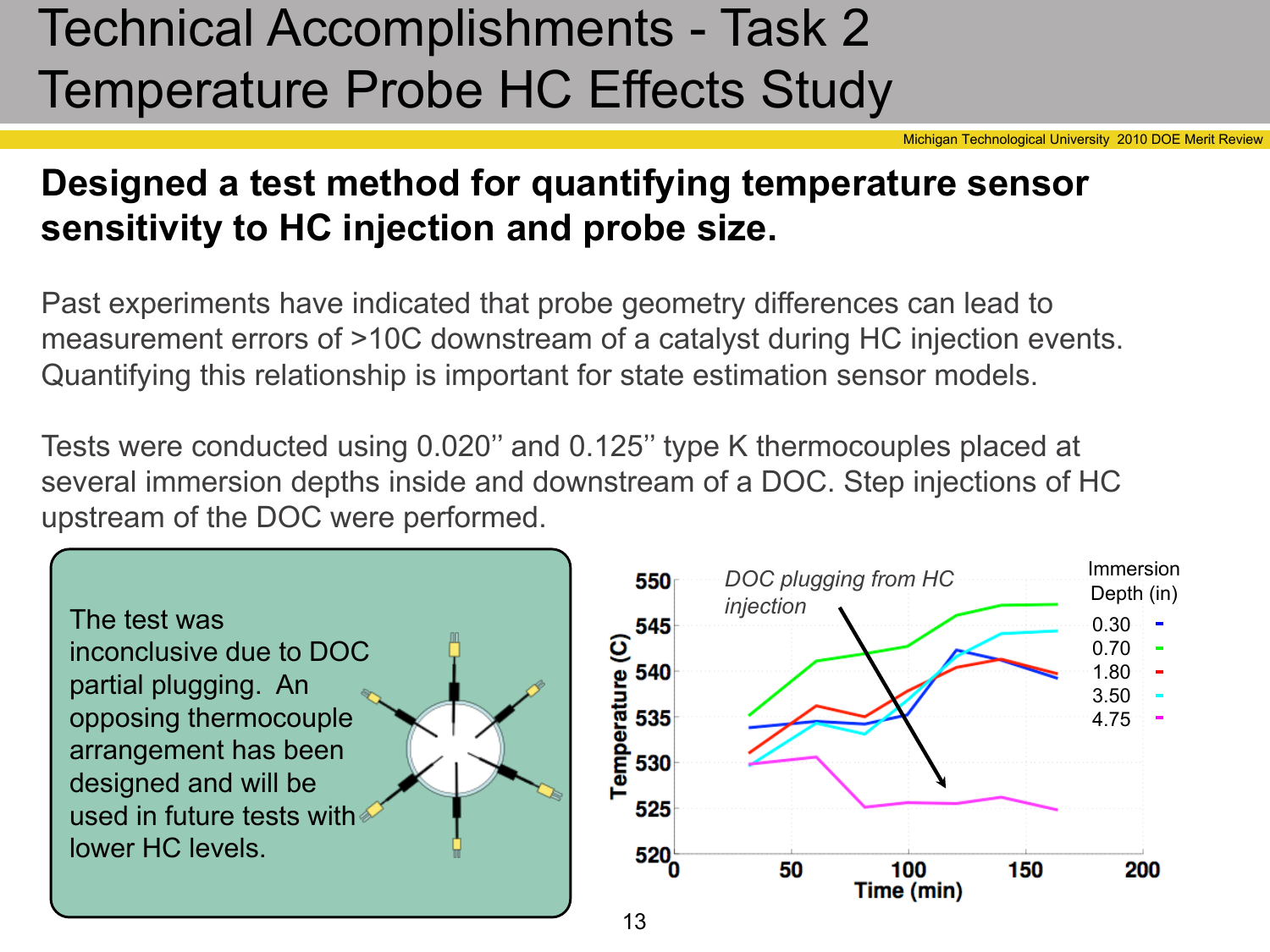# Technical Accomplishments - Task 2 Temperature Probe HC Effects Study

Michigan Technological University 2010 DOE Merit Review

Immersion

Depth (in)

200

0.30 0.70 1.80 3.50 4.75

#### **Designed a test method for quantifying temperature sensor sensitivity to HC injection and probe size.**

Past experiments have indicated that probe geometry differences can lead to measurement errors of >10C downstream of a catalyst during HC injection events. Quantifying this relationship is important for state estimation sensor models.

Tests were conducted using 0.020'' and 0.125'' type K thermocouples placed at several immersion depths inside and downstream of a DOC. Step injections of HC upstream of the DOC were performed.

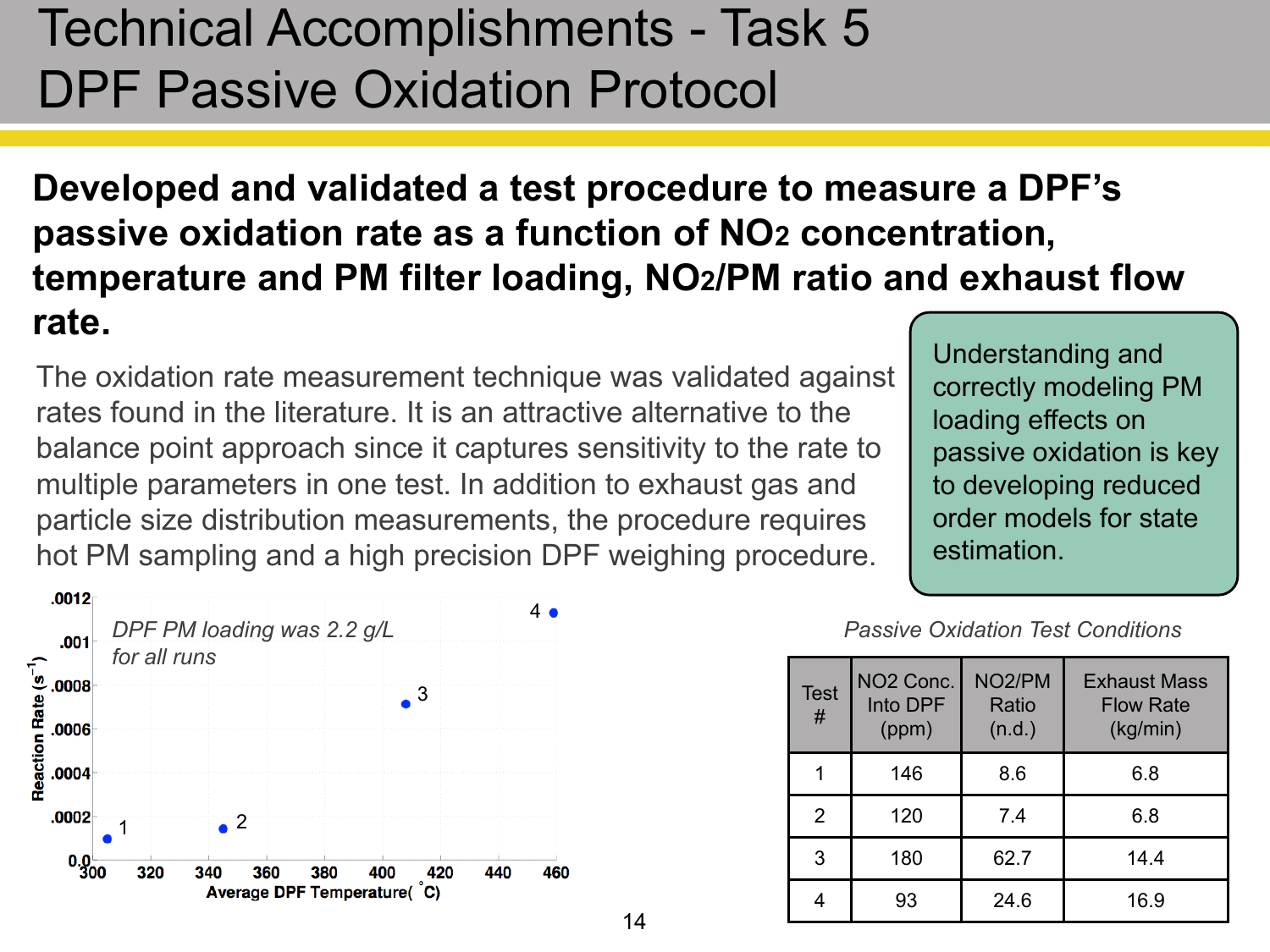### Technical Accomplishments - Task 5 DPF Passive Oxidation Protocol

#### **Developed and validated a test procedure to measure a DPF's passive oxidation rate as a function of NO2 concentration, temperature and PM filter loading, NO2/PM ratio and exhaust flow rate.**

The oxidation rate measurement technique was validated against rates found in the literature. It is an attractive alternative to the balance point approach since it captures sensitivity to the rate to multiple parameters in one test. In addition to exhaust gas and particle size distribution measurements, the procedure requires hot PM sampling and a high precision DPF weighing procedure.

Understanding and correctly modeling PM loading effects on passive oxidation is key to developing reduced order models for state estimation.



*Passive Oxidation Test Conditions*

| <b>Test</b><br># | NO <sub>2</sub> Conc.<br>Into DPF<br>(ppm) | NO <sub>2</sub> /PM<br>Ratio<br>(n.d.) | <b>Exhaust Mass</b><br><b>Flow Rate</b><br>(kg/min) |
|------------------|--------------------------------------------|----------------------------------------|-----------------------------------------------------|
|                  | 146                                        | 8.6                                    | 6.8                                                 |
| $\overline{2}$   | 120                                        | 7.4                                    | 6.8                                                 |
| 3                | 180                                        | 62.7                                   | 14.4                                                |
|                  | 93                                         | 24.6                                   | 16.9                                                |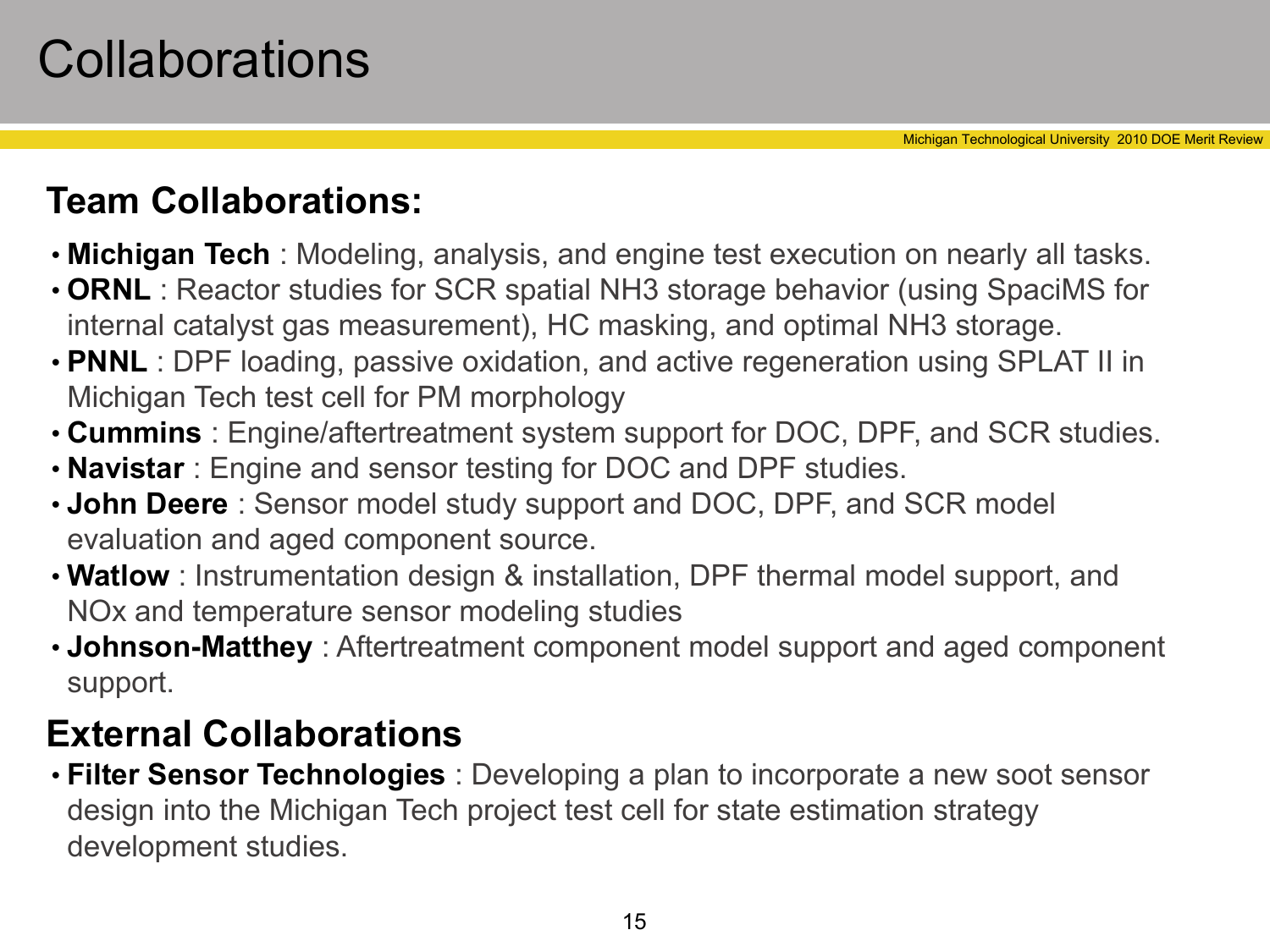### **Collaborations**

#### **Team Collaborations:**

- **Michigan Tech** : Modeling, analysis, and engine test execution on nearly all tasks.
- **ORNL** : Reactor studies for SCR spatial NH3 storage behavior (using SpaciMS for internal catalyst gas measurement), HC masking, and optimal NH3 storage.
- **PNNL** : DPF loading, passive oxidation, and active regeneration using SPLAT II in Michigan Tech test cell for PM morphology
- **Cummins** : Engine/aftertreatment system support for DOC, DPF, and SCR studies.
- **Navistar** : Engine and sensor testing for DOC and DPF studies.
- **John Deere** : Sensor model study support and DOC, DPF, and SCR model evaluation and aged component source.
- **Watlow** : Instrumentation design & installation, DPF thermal model support, and NOx and temperature sensor modeling studies
- **Johnson-Matthey** : Aftertreatment component model support and aged component support.

#### **External Collaborations**

• **Filter Sensor Technologies** : Developing a plan to incorporate a new soot sensor design into the Michigan Tech project test cell for state estimation strategy development studies.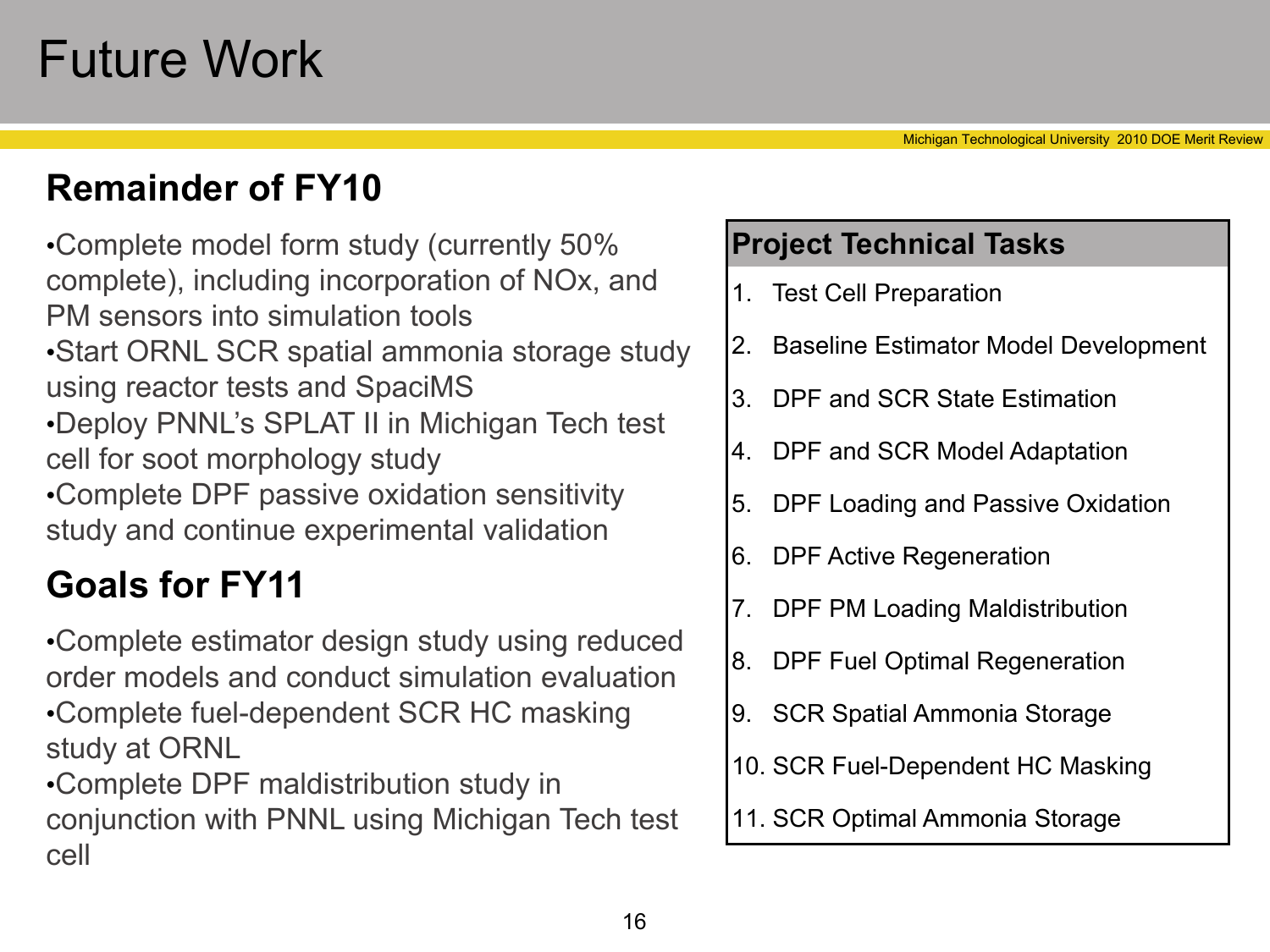### Future Work

#### **Remainder of FY10**

•Complete model form study (currently 50% complete), including incorporation of NOx, and PM sensors into simulation tools •Start ORNL SCR spatial ammonia storage study using reactor tests and SpaciMS •Deploy PNNL's SPLAT II in Michigan Tech test cell for soot morphology study •Complete DPF passive oxidation sensitivity study and continue experimental validation

#### **Goals for FY11**

•Complete estimator design study using reduced order models and conduct simulation evaluation •Complete fuel-dependent SCR HC masking study at ORNL

•Complete DPF maldistribution study in conjunction with PNNL using Michigan Tech test cell

#### **Project Technical Tasks**

- 1. Test Cell Preparation
- 2. Baseline Estimator Model Development
- 3. DPF and SCR State Estimation
- 4. DPF and SCR Model Adaptation
- 5. DPF Loading and Passive Oxidation
- 6. DPF Active Regeneration
- 7. DPF PM Loading Maldistribution
- 8. DPF Fuel Optimal Regeneration
- 9. SCR Spatial Ammonia Storage
- 10. SCR Fuel-Dependent HC Masking
- 11. SCR Optimal Ammonia Storage